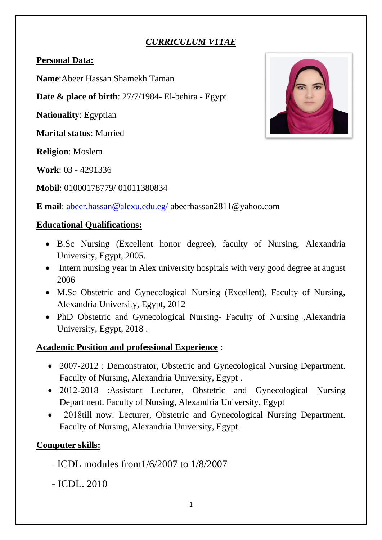## *CURRICULUM V1TAE*

### **Personal Data:**

**Name**:Abeer Hassan Shamekh Taman

**Date & place of birth**: 27/7/1984- El-behira - Egypt

**Nationality**: Egyptian

**Marital status**: Married

**Religion**: Moslem

**Work**: 03 - 4291336

**Mobil**: 01000178779/ 01011380834



**E mail**: [abeer.hassan@alexu.edu.eg/](mailto:abeer.hassan@alexu.edu.eg/) abeerhassan2811@yahoo.com

### **Educational Qualifications :**

- B.Sc Nursing (Excellent honor degree), faculty of Nursing, Alexandria University, Egypt, 2005.
- Intern nursing year in Alex university hospitals with very good degree at august 2006
- M.Sc Obstetric and Gynecological Nursing (Excellent), Faculty of Nursing, Alexandria University, Egypt, 2012
- PhD Obstetric and Gynecological Nursing- Faculty of Nursing ,Alexandria University, Egypt, 2018 .

## **Academic Position and professional Experience** :

- 2007-2012 : Demonstrator, Obstetric and Gynecological Nursing Department. Faculty of Nursing, Alexandria University, Egypt .
- 2012-2018 :Assistant Lecturer, Obstetric and Gynecological Nursing Department. Faculty of Nursing, Alexandria University, Egypt
- 2018till now: Lecturer, Obstetric and Gynecological Nursing Department. Faculty of Nursing, Alexandria University, Egypt.

## **Computer skills:**

- ICDL modules from1/6/2007 to 1/8/2007
- ICDL. 2010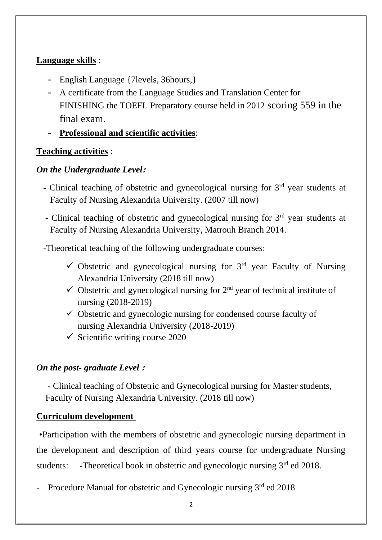#### **Language skills** :

- English Language {7levels, 36hours,}
- A certificate from the Language Studies and Translation Center for FINISHING the TOEFL Preparatory course held in 2012 scoring 559 in the final exam.
- **Professional and scientific activities** :

### **Teaching activities** :

### *On the Undergraduate Level:*

- Clinical teaching of obstetric and gynecological nursing for  $3<sup>rd</sup>$  year students at Faculty of Nursing Alexandria University. (2007 till now)
- Clinical teaching of obstetric and gynecological nursing for  $3<sup>rd</sup>$  year students at Faculty of Nursing Alexandria University, Matrouh Branch 2014.

-Theoretical teaching of the following undergraduate courses :

- $\checkmark$  Obstetric and gynecological nursing for 3<sup>rd</sup> year Faculty of Nursing Alexandria University (2018 till now)
- $\checkmark$  Obstetric and gynecological nursing for  $2<sup>nd</sup>$  year of technical institute of nursing (2018-2019)
- $\checkmark$  Obstetric and gynecologic nursing for condensed course faculty of nursing Alexandria University (2018-2019)
- $\checkmark$  Scientific writing course 2020

## *On the post- graduate Level* **:**

- Clinical teaching of Obstetric and Gynecological nursing for Master students, Faculty of Nursing Alexandria University. (2018 till now)

#### **Curriculum development**

 •Participation with the members of obstetric and gynecologic nursing department in the development and description of third years course for undergraduate Nursing students: -Theoretical book in obstetric and gynecologic nursing  $3<sup>rd</sup>$  ed 2018.

- Procedure Manual for obstetric and Gynecologic nursing 3<sup>rd</sup> ed 2018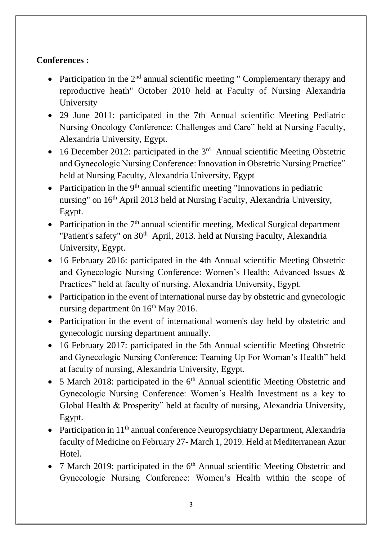## **Conferences :**

- Participation in the  $2<sup>nd</sup>$  annual scientific meeting " Complementary therapy and reproductive heath" October 2010 held at Faculty of Nursing Alexandria University
- 29 June 2011: participated in the 7th Annual scientific Meeting Pediatric Nursing Oncology Conference: Challenges and Care" held at Nursing Faculty, Alexandria University, Egypt.
- 16 December 2012: participated in the  $3<sup>rd</sup>$  Annual scientific Meeting Obstetric and Gynecologic Nursing Conference: Innovation in Obstetric Nursing Practice" held at Nursing Faculty, Alexandria University, Egypt
- Participation in the  $9<sup>th</sup>$  annual scientific meeting "Innovations in pediatric nursing" on 16<sup>th</sup> April 2013 held at Nursing Faculty, Alexandria University, Egypt.
- Participation in the  $7<sup>th</sup>$  annual scientific meeting, Medical Surgical department "Patient's safety" on 30<sup>th</sup> April, 2013. held at Nursing Faculty, Alexandria University, Egypt.
- 16 February 2016: participated in the 4th Annual scientific Meeting Obstetric and Gynecologic Nursing Conference: Women's Health: Advanced Issues & Practices" held at faculty of nursing, Alexandria University, Egypt.
- Participation in the event of international nurse day by obstetric and gynecologic nursing department 0n 16<sup>th</sup> May 2016.
- Participation in the event of international women's day held by obstetric and gynecologic nursing department annually.
- 16 February 2017: participated in the 5th Annual scientific Meeting Obstetric and Gynecologic Nursing Conference: Teaming Up For Woman's Health" held at faculty of nursing, Alexandria University, Egypt.
- 5 March 2018: participated in the  $6<sup>th</sup>$  Annual scientific Meeting Obstetric and Gynecologic Nursing Conference: Women's Health Investment as a key to Global Health & Prosperity" held at faculty of nursing, Alexandria University, Egypt.
- Participation in  $11<sup>th</sup>$  annual conference Neuropsychiatry Department, Alexandria faculty of Medicine on February 27- March 1, 2019. Held at Mediterranean Azur Hotel.
- 7 March 2019: participated in the  $6<sup>th</sup>$  Annual scientific Meeting Obstetric and Gynecologic Nursing Conference: Women's Health within the scope of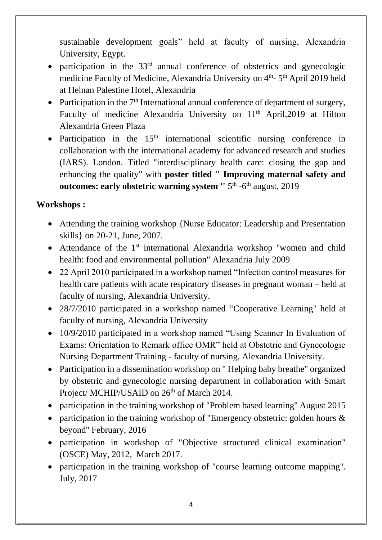sustainable development goals" held at faculty of nursing, Alexandria University, Egypt.

- participation in the  $33<sup>rd</sup>$  annual conference of obstetrics and gynecologic medicine Faculty of Medicine, Alexandria University on 4<sup>th</sup>-5<sup>th</sup> April 2019 held at Helnan Palestine Hotel, Alexandria
- Participation in the  $7<sup>th</sup>$  International annual conference of department of surgery, Faculty of medicine Alexandria University on 11<sup>th</sup> April, 2019 at Hilton Alexandria Green Plaza
- Participation in the  $15<sup>th</sup>$  international scientific nursing conference in collaboration with the international academy for advanced research and studies (IARS). London. Titled ''interdisciplinary health care: closing the gap and enhancing the quality" with **poster titled '' Improving maternal safety and**  outcomes: early obstetric warning system " 5<sup>th</sup> -6<sup>th</sup> august, 2019

## **Workshops :**

- Attending the training workshop {Nurse Educator: Leadership and Presentation skills} on 20-21, June, 2007.
- Attendance of the  $1<sup>st</sup>$  international Alexandria workshop "women and child health: food and environmental pollution" Alexandria July 2009
- 22 April 2010 participated in a workshop named "Infection control measures for health care patients with acute respiratory diseases in pregnant woman – held at faculty of nursing, Alexandria University.
- 28/7/2010 participated in a workshop named "Cooperative Learning" held at faculty of nursing, Alexandria University
- 10/9/2010 participated in a workshop named "Using Scanner In Evaluation of Exams: Orientation to Remark office OMR" held at Obstetric and Gynecologic Nursing Department Training - faculty of nursing, Alexandria University.
- Participation in a dissemination workshop on "Helping baby breathe" organized by obstetric and gynecologic nursing department in collaboration with Smart Project/ MCHIP/USAID on 26<sup>th</sup> of March 2014.
- participation in the training workshop of ''Problem based learning'' August 2015
- participation in the training workshop of "Emergency obstetric: golden hours  $\&$ beyond'' February, 2016
- participation in workshop of "Objective structured clinical examination" (OSCE) May, 2012, March 2017.
- participation in the training workshop of ''course learning outcome mapping''. July, 2017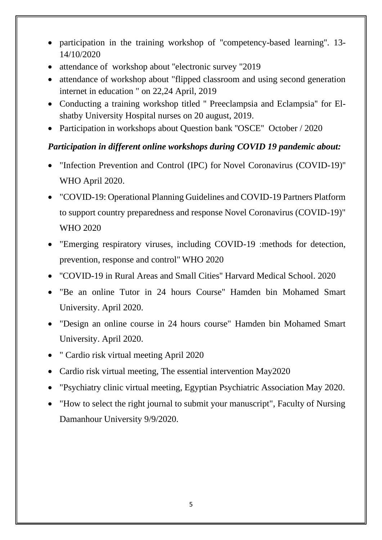- participation in the training workshop of ''competency-based learning''. 13- 14/10/2020
- attendance of workshop about "electronic survey "2019"
- attendance of workshop about "flipped classroom and using second generation internet in education " on 22,24 April, 2019
- Conducting a training workshop titled '' Preeclampsia and Eclampsia'' for Elshatby University Hospital nurses on 20 august, 2019.
- Participation in workshops about Question bank "OSCE" October / 2020

## *Participation in different online workshops during COVID 19 pandemic about:*

- "Infection Prevention and Control (IPC) for Novel Coronavirus (COVID-19)'' WHO April 2020.
- "COVID-19: Operational Planning Guidelines and COVID-19 Partners Platform to support country preparedness and response Novel Coronavirus (COVID-19)" WHO 2020
- "Emerging respiratory viruses, including COVID-19 :methods for detection, prevention, response and control" WHO 2020
- ''COVID-19 in Rural Areas and Small Cities'' Harvard Medical School. 2020
- "Be an online Tutor in 24 hours Course'' Hamden bin Mohamed Smart University. April 2020.
- "Design an online course in 24 hours course" Hamden bin Mohamed Smart University. April 2020.
- " Cardio risk virtual meeting April 2020
- Cardio risk virtual meeting, The essential intervention May2020
- "Psychiatry clinic virtual meeting, Egyptian Psychiatric Association May 2020.
- "How to select the right journal to submit your manuscript", Faculty of Nursing Damanhour University 9/9/2020.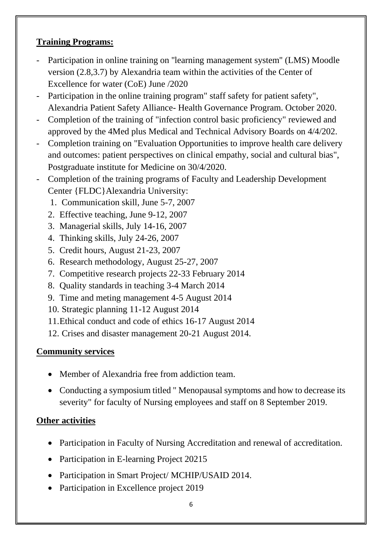## **Training Programs:**

- Participation in online training on ''learning management system'' (LMS) Moodle version (2.8,3.7) by Alexandria team within the activities of the Center of Excellence for water (CoE) June /2020
- Participation in the online training program" staff safety for patient safety", Alexandria Patient Safety Alliance- Health Governance Program. October 2020.
- Completion of the training of "infection control basic proficiency" reviewed and approved by the 4Med plus Medical and Technical Advisory Boards on 4/4/202.
- Completion training on "Evaluation Opportunities to improve health care delivery and outcomes: patient perspectives on clinical empathy, social and cultural bias", Postgraduate institute for Medicine on 30/4/2020.
- Completion of the training programs of Faculty and Leadership Development Center {FLDC}Alexandria University:
	- 1. Communication skill, June 5-7, 2007
	- 2. Effective teaching, June 9-12, 2007
	- 3. Managerial skills, July 14-16, 2007
	- 4. Thinking skills, July 24-26, 2007
	- 5. Credit hours, August 21-23, 2007
	- 6. Research methodology, August 25-27, 2007
	- 7. Competitive research projects 22-33 February 2014
	- 8. Quality standards in teaching 3-4 March 2014
	- 9. Time and meting management 4-5 August 2014
	- 10. Strategic planning 11-12 August 2014
	- 11.Ethical conduct and code of ethics 16-17 August 2014
	- 12. Crises and disaster management 20-21 August 2014.

## **Community services**

- Member of Alexandria free from addiction team.
- Conducting a symposium titled "Menopausal symptoms and how to decrease its severity" for faculty of Nursing employees and staff on 8 September 2019.

# **Other activities**

- Participation in Faculty of Nursing Accreditation and renewal of accreditation.
- Participation in E-learning Project 20215
- Participation in Smart Project/ MCHIP/USAID 2014.
- Participation in Excellence project 2019